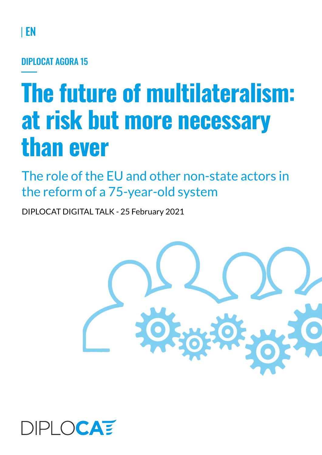

DIPLOCAT AGORA 15

# The future of multilateralism: at risk but more necessary than ever

The role of the EU and other non-state actors in the reform of a 75-year-old system

DIPLOCAT DIGITAL TALK - 25 February 2021

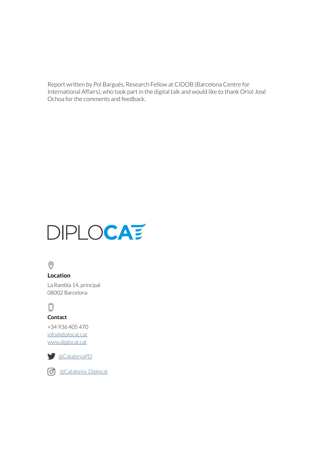Report written by Pol Bargués, Research Fellow at CIDOB (Barcelona Centre for International Affairs), who took part in the digital talk and would like to thank Oriol José Ochoa for the comments and feedback.

## DIPLOCAE

### $\circledcirc$

#### **Location**

La Rambla 14, principal 08002 Barcelona

### $\begin{bmatrix} 1 \\ 1 \end{bmatrix}$

#### **Contact**

+34 936 405 470 [info@diplocat.cat](mailto:info%40diplocat.cat?subject=) [www.diplocat.cat](https://diplocat.cat/ca/)



[@Catalonia\\_Diplocat](https://www.instagram.com/catalonia_diplocat/)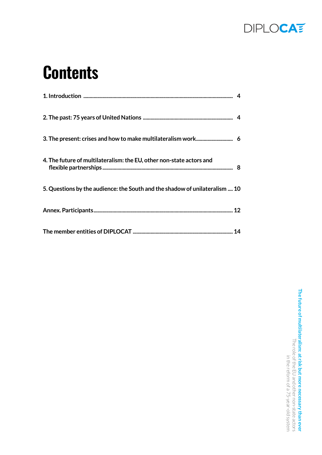

## **Contents**

| 4. The future of multilateralism: the EU, other non-state actors and        |  |
|-----------------------------------------------------------------------------|--|
| 5. Questions by the audience: the South and the shadow of unilateralism  10 |  |
|                                                                             |  |
|                                                                             |  |

The future of multilateralism: at risk but more necessary than ever<br>The future of multilateralism: at risk but more necessary than ever **The future of multilateralism: at risk but more necessary than ever** The role of the EU and other non-state actors in the reform of a 75-year-old system in the reform of a 75-year-old system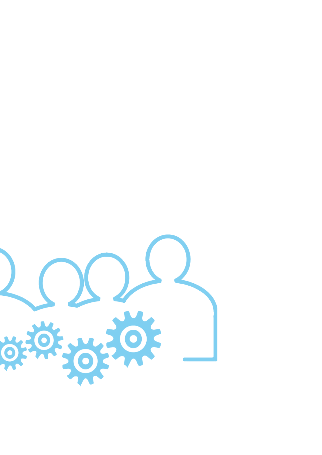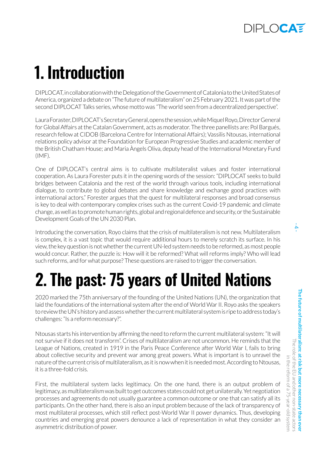

## <span id="page-4-0"></span>1. Introduction

DIPLOCAT, in collaboration with the Delegation of the Government of Catalonia to the United States of America, organized a debate on "The future of multilateralism" on 25 February 2021. It was part of the second DIPLOCAT Talks series, whose motto was "The world seen from a decentralized perspective".

Laura Foraster, DIPLOCAT's Secretary General, opens the session, while Miquel Royo, Director General for Global Affairs at the Catalan Government, acts as moderator. The three panellists are: Pol Bargués, research fellow at CIDOB (Barcelona Centre for International Affairs); Vassilis Ntousas, international relations policy advisor at the Foundation for European Progressive Studies and academic member of the British Chatham House; and Maria Àngels Oliva, deputy head of the International Monetary Fund (IMF).

One of DIPLOCAT's central aims is to cultivate multilateralist values and foster international cooperation. As Laura Forester puts it in the opening words of the session: "DIPLOCAT seeks to build bridges between Catalonia and the rest of the world through various tools, including international dialogue, to contribute to global debates and share knowledge and exchange good practices with international actors." Forester argues that the quest for multilateral responses and broad consensus is key to deal with contemporary complex crises such as the current Covid-19 pandemic and climate change, as well as to promote human rights, global and regional defence and security, or the Sustainable Development Goals of the UN 2030 Plan.

Introducing the conversation, Royo claims that the crisis of multilateralism is not new. Multilateralism is complex, it is a vast topic that would require additional hours to merely scratch its surface. In his view, the key question is not whether the current UN-led system needs to be reformed, as most people would concur. Rather, the puzzle is: How will it be reformed? What will reforms imply? Who will lead such reforms, and for what purpose? These questions are raised to trigger the conversation.

## 2. The past: 75 years of United Nations

2020 marked the 75th anniversary of the founding of the United Nations (UN), the organization that laid the foundations of the international system after the end of World War II. Royo asks the speakers to review the UN's history and assess whether the current multilateral system is ripe to address today's challenges: "Is a reform necessary?".

Ntousas starts his intervention by affirming the need to reform the current multilateral system: "It will not survive if it does not transform". Crises of multilateralism are not uncommon. He reminds that the League of Nations, created in 1919 in the Paris Peace Conference after World War I, fails to bring about collective security and prevent war among great powers. What is important is to unravel the nature of the current crisis of multilateralism, as it is now when it is needed most. According to Ntousas, it is a three-fold crisis.

First, the multilateral system lacks legitimacy. On the one hand, there is an output problem of legitimacy, as multilateralism was built to get outcomes states could not get unilaterally. Yet negotiation processes and agreements do not usually guarantee a common outcome or one that can satisfy all its participants. On the other hand, there is also an input problem because of the lack of transparency of most multilateral processes, which still reflect post-World War II power dynamics. Thus, developing countries and emerging great powers denounce a lack of representation in what they consider an asymmetric distribution of power.

 $\rightarrow$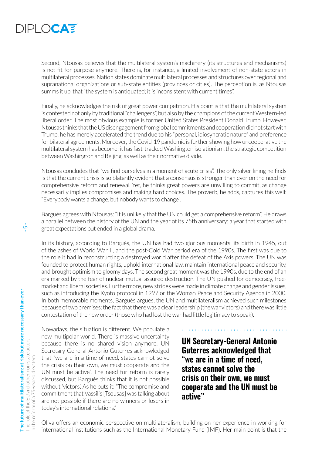

Second, Ntousas believes that the multilateral system's machinery (its structures and mechanisms) is not fit for purpose anymore. There is, for instance, a limited involvement of non-state actors in multilateral processes. Nation states dominate multilateral processes and structures over regional and supranational organizations or sub-state entities (provinces or cities). The perception is, as Ntousas summs it up, that "the system is antiquated; it is inconsistent with current times".

Finally, he acknowledges the risk of great power competition. His point is that the multilateral system is contested not only by traditional "challengers", but also by the champions of the current Western-led liberal order. The most obvious example is former United States President Donald Trump. However, Ntousas thinks that the US disengagement from global commitments and cooperation did not start with Trump; he has merely accelerated the trend due to his "personal, idiosyncratic nature" and preference for bilateral agreements. Moreover, the Covid-19 pandemic is further showing how uncooperative the multilateral system has become: it has fast-tracked Washington isolationism, the strategic competition between Washington and Beijing, as well as their normative divide.

Ntousas concludes that "we find ourselves in a moment of acute crisis". The only silver lining he finds is that the current crisis is so blatantly evident that a consensus is stronger than ever on the need for comprehensive reform and renewal. Yet, he thinks great powers are unwilling to commit, as change necessarily implies compromises and making hard choices. The proverb, he adds, captures this well: "Everybody wants a change, but nobody wants to change".

Bargués agrees with Ntousas: "It is unlikely that the UN could get a comprehensive reform". He draws a parallel between the history of the UN and the year of its 75th anniversary: a year that started with great expectations but ended in a global drama.

In its history, according to Bargués, the UN has had two glorious moments: its birth in 1945, out of the ashes of World War II, and the post-Cold War period era of the 1990s. The first was due to the role it had in reconstructing a destroyed world after the defeat of the Axis powers. The UN was founded to protect human rights, uphold international law, maintain international peace and security, and brought optimism to gloomy days. The second great moment was the 1990s, due to the end of an era marked by the fear of nuclear mutual assured destruction. The UN pushed for democracy, freemarket and liberal societies. Furthermore, new strides were made in climate change and gender issues, such as introducing the Kyoto protocol in 1997 or the Woman Peace and Security Agenda in 2000. In both memorable moments, Bargués argues, the UN and multilateralism achieved such milestones because of two premises: the fact that there was a clear leadership (the war victors) and there was little contestation of the new order (those who had lost the war had little legitimacy to speak).

Nowadays, the situation is different. We populate a new multipolar world. There is massive uncertainty because there is no shared vision anymore. UN Secretary-General Antonio Guterres acknowledged that "we are in a time of need, states cannot solve the crisis on their own, we must cooperate and the UN must be active". The need for reform is rarely discussed, but Bargués thinks that it is not possible without 'victors'. As he puts it: "The compromise and commitment that Vassilis [Tsousas] was talking about are not possible if there are no winners or losers in today's international relations."

UN Secretary-General Antonio Guterres acknowledged that "we are in a time of need, states cannot solve the crisis on their own, we must cooperate and the UN must be active"

Oliva offers an economic perspective on multilateralism, building on her experience in working for international institutions such as the International Monetary Fund (IMF). Her main point is that the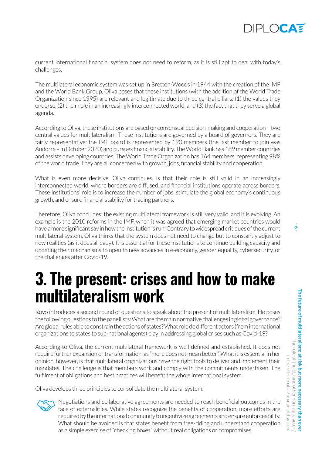

<span id="page-6-0"></span>current international financial system does not need to reform, as it is still apt to deal with today's challenges.

The multilateral economic system was set up in Bretton-Woods in 1944 with the creation of the IMF and the World Bank Group. Oliva poses that these institutions (with the addition of the World Trade Organization since 1995) are relevant and legitimate due to three central pillars: (1) the values they endorse, (2) their role in an increasingly interconnected world, and (3) the fact that they serve a global agenda.

According to Oliva, these institutions are based on consensual decision-making and cooperation – two central values for multilateralism. These institutions are governed by a board of governors. They are fairly representative: the IMF board is represented by 190 members (the last member to join was Andorra – in October 2020) and pursues financial stability. The World Bank has 189 member countries and assists developing countries. The World Trade Organization has 164 members, representing 98% of the world trade. They are all concerned with growth, jobs, financial stability and cooperation.

What is even more decisive, Oliva continues, is that their role is still valid in an increasingly interconnected world, where borders are diffused, and financial institutions operate across borders. These institutions' role is to increase the number of jobs, stimulate the global economy's continuous growth, and ensure financial stability for trading partners.

Therefore, Oliva concludes: the existing multilateral framework is still very valid, and it is evolving. An example is the 2010 reforms in the IMF, when it was agreed that emerging market countries would have a more significant say in how the institution is run. Contrary to widespread critiques of the current multilateral system, Oliva thinks that the system does not need to change but to constantly adjust to new realities (as it does already). It is essential for these institutions to continue building capacity and updating their mechanisms to open to new advances in e-economy, gender equality, cybersecurity, or the challenges after Covid-19.

## 3. The present: crises and how to make multilateralism work

Royo introduces a second round of questions to speak about the present of multilateralism. He poses the following questions to the panellists: What are the main normative challenges in global governance? Are global rules able to constrain the actions of states? What role do different actors (from international organizations to states to sub-national agents) play in addressing global crises such as Covid-19?

According to Oliva, the current multilateral framework is well defined and established. It does not require further expansion or transformation, as "more does not mean better". What it is essential in her opinion, however, is that multilateral organizations have the right tools to deliver and implement their mandates. The challenge is that members work and comply with the commitments undertaken. The fulfilment of obligations and best practices will benefit the whole international system.

Oliva develops three principles to consolidate the multilateral system:



Negotiations and collaborative agreements are needed to reach beneficial outcomes in the face of externalities. While states recognize the benefits of cooperation, more efforts are required by the international community to incentivize agreements and ensure enforceability. What should be avoided is that states benefit from free-riding and understand cooperation as a simple exercise of "checking boxes" without real obligations or compromises.

 $\sigma$ 

in the reform of a 75-year-old system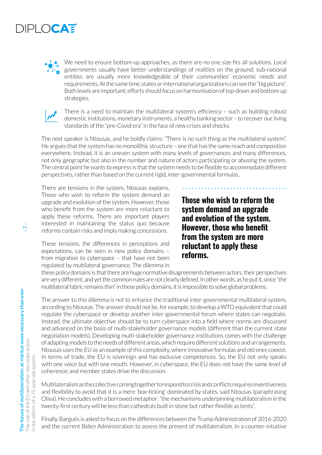

We need to ensure bottom-up approaches, as there are no one size fits all solutions. Local governments usually have better understandings of realities on the ground; sub-national entities are usually more knowledgeable of their communities' economic needs and requirements. At the same time, states or international organizations can see the "big picture". Both levels are important; efforts should focus on harmonisation of top-down and bottom-up strategies.



There is a need to maintain the multilateral system's efficiency – such as building robust domestic institutions, monetary instruments, a healthy banking sector – to recover our living standards of the "pre-Covid era" in the face of new crises and shocks.

The next speaker is Ntousas, and he boldly claims: "There is no such thing as the multilateral system". He argues that the system has no monolithic structure – one that has the same reach and composition everywhere. Instead, it is an uneven system with many levels of governances and many differences, not only geographic but also in the number and nature of actors participating or abusing the system. The central point he wants to express is that the system needs to be flexible to accommodate different perspectives, rather than based on the current rigid, inter-governmental formulas.

There are tensions in the system, Ntousas explains. Those who wish to reform the system demand an upgrade and evolution of the system. However, those who benefit from the system are more reluctant to apply these reforms. There are important players interested in maintaining the status quo because reforms contain risks and imply making concessions.

These tensions, the differences in perceptions and expectations, can be seen in new policy domains – from migration to cyberspace – that have not been regulated by multilateral governance. The dilemma in

Those who wish to reform the system demand an upgrade and evolution of the system. However, those who benefit from the system are more reluctant to apply these reforms.

these policy domains is that there are huge normative disagreements between actors, their perspectives are very different, and yet the common rules are not clearly defined. In other words, as he put it, since "the multilateral fabric remains thin" in these policy domains, it is impossible to solve global problems.

The answer to this dilemma is not to enhance the traditional inter-governmental multilateral system, according to Ntousas. The answer should not be, for example, to develop a WTO equivalent that could regulate the cyberspace or develop another inter-governmental forum where states can negotiate. Instead, the ultimate objective should be to turn cyberspace into a field where norms are discussed and advanced on the basis of multi-stakeholder governance models (different than the current state negotiation models). Developing multi-stakeholder governance institutions comes with the challenge of adapting models to the needs of different areas, which require different solutions and arrangements. Ntousas uses the EU as an example of this complexity, where innovative formulas and old ones coexist. In terms of trade, the EU is sovereign and has exclusive competences. So, the EU not only speaks with one voice but with one mouth. However, in cyberspace, the EU does not have the same level of coherence; and member states drive the discussion.

Multilateralism as the collective coming together to respond to crisis and conflicts requires inventiveness and flexibility to avoid that it is a mere 'box-ticking' dominated by states, said Ntousas (paraphrasing Oliva). He concludes with a borrowed metaphor: "the mechanisms underpinning multilateralism in the twenty-first century will be less than cathedrals built in stone but rather flexible as tents".

Finally, Bargués is asked to focus on the differences between the Trump Administration of 2016-2020 and the current Biden Administration to assess the present of multilateralism. In a counter-intuitive

 $\frac{1}{2}$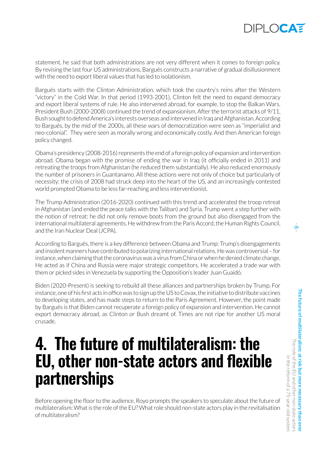

<span id="page-8-0"></span>statement, he said that both administrations are not very different when it comes to foreign policy. By revising the last four US administrations, Bargués constructs a narrative of gradual disillusionment with the need to export liberal values that has led to isolationism.

Bargués starts with the Clinton Administration, which took the country's reins after the Western "victory" in the Cold War. In that period (1993-2001), Clinton felt the need to expand democracy and export liberal systems of rule. He also intervened abroad, for example, to stop the Balkan Wars. President Bush (2000-2008) continued the trend of expansionism. After the terrorist attacks of 9/11, Bush sought to defend America's interests overseas and intervened in Iraq and Afghanistan. According to Bargués, by the mid of the 2000s, all these wars of democratization were seen as "imperialist and neo-colonial". They were seen as morally wrong and economically costly. And then American foreign policy changed.

Obama's presidency (2008-2016) represents the end of a foreign policy of expansion and intervention abroad. Obama began with the promise of ending the war in Iraq (it officially ended in 2011) and retreating the troops from Afghanistan (he reduced them substantially). He also reduced enormously the number of prisoners in Guantanamo. All these actions were not only of choice but particularly of necessity: the crisis of 2008 had struck deep into the heart of the US, and an increasingly contested world prompted Obama to be less far-reaching and less interventionist.

The Trump Administration (2016-2020) continued with this trend and accelerated the troop retreat in Afghanistan (and ended the peace talks with the Taliban) and Syria. Trump went a step further with the notion of retreat: he did not only remove boots from the ground but also disengaged from the international multilateral agreements. He withdrew from the Paris Accord, the Human Rights Council, and the Iran Nuclear Deal (JCPA).

According to Bargués, there is a key difference between Obama and Trump: Trump's disengagements and insolent manners have contributed to polarizing international relations. He was controversial – for instance, when claiming that the coronavirus was a virus from China or when he denied climate change. He acted as if China and Russia were major strategic competitors. He accelerated a trade war with them or picked sides in Venezuela by supporting the Opposition's leader Juan Guaidó.

Biden (2020-Present) is seeking to rebuild all these alliances and partnerships broken by Trump. For instance, one of his first acts in office was to sign up the US to Covax, the initiative to distribute vaccines to developing states, and has made steps to return to the Paris Agreement. However, the point made by Bargués is that Biden cannot recuperate a foreign policy of expansion and intervention. He cannot export democracy abroad, as Clinton or Bush dreamt of. Times are not ripe for another US moral crusade.

## 4. The future of multilateralism: the EU, other non-state actors and flexible partnerships

Before opening the floor to the audience, Royo prompts the speakers to speculate about the future of multilateralism: What is the role of the EU? What role should non-state actors play in the revitalisation of multilateralism?

 $\dot{\infty}$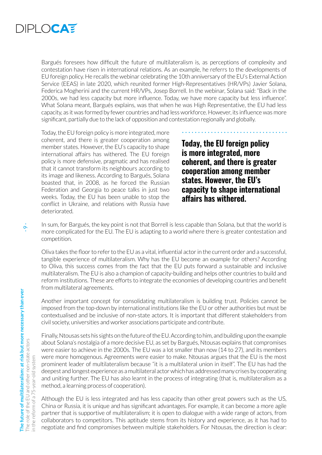

Bargués foresees how difficult the future of multilateralism is, as perceptions of complexity and contestation have risen in international relations. As an example, he referrs to the developments of EU foreign policy. He recalls the webinar celebrating the 10th anniversary of the EU's External Action Service (EEAS) in late 2020, which reunited former High-Representatives (HR/VPs) Javier Solana, Federica Mogherini and the current HR/VPs, Josep Borrell. In the webinar, Solana said: "Back in the 2000s, we had less capacity but more influence. Today, we have more capacity but less influence". What Solana meant, Bargués explains, was that when he was High Representative, the EU had less capacity, as it was formed by fewer countries and had less workforce. However, its influence was more significant, partially due to the lack of opposition and contestation regionally and globally.

Today, the EU foreign policy is more integrated, more coherent, and there is greater cooperation among member states. However, the EU's capacity to shape international affairs has withered. The EU foreign policy is more defensive, pragmatic and has realised that it cannot transform its neighbours according to its image and likeness. According to Bargués, Solana boasted that, in 2008, as he forced the Russian Federation and Georgia to peace talks in just two weeks. Today, the EU has been unable to stop the conflict in Ukraine, and relations with Russia have deteriorated.

Today, the EU foreign policy is more integrated, more coherent, and there is greater cooperation among member states. However, the EU's capacity to shape international affairs has withered.

In sum, for Bargués, the key point is not that Borrell is less capable than Solana, but that the world is more complicated for the EU. The EU is adapting to a world where there is greater contestation and competition.

Oliva takes the floor to refer to the EU as a vital, influential actor in the current order and a successful, tangible experience of multilateralism. Why has the EU become an example for others? According to Oliva, this success comes from the fact that the EU puts forward a sustainable and inclusive multilateralism. The EU is also a champion of capacity-building and helps other countries to build and reform institutions. These are efforts to integrate the economies of developing countries and benefit from multilateral agreements.

Another important concept for consolidating multilateralism is building trust. Policies cannot be imposed from the top-down by international institutions like the EU or other authorities but must be contextualised and be inclusive of non-state actors. It is important that different stakeholders from civil society, universities and worker associations participate and contribute.

Finally, Ntousas sets his sights on the future of the EU. According to him, and building upon the example about Solana's nostalgia of a more decisive EU, as set by Bargués, Ntousas explains that compromises were easier to achieve in the 2000s. The EU was a lot smaller than now (14 to 27), and its members were more homogenous. Agreements were easier to make. Ntousas argues that the EU is the most prominent leader of multilateralism because "it is a multilateral union in itself". The EU has had the deepest and longest experience as a multilateral actor which has addressed many crises by cooperating and uniting further. The EU has also learnt in the process of integrating (that is, multilateralism as a method, a learning process of cooperation).

Although the EU is less integrated and has less capacity than other great powers such as the US, China or Russia, it is unique and has significant advantages. For example, it can become a more agile partner that is supportive of multilateralism; it is open to dialogue with a wide range of actors, from collaborators to competitors. This aptitude stems from its history and experience, as it has had to negotiate and find compromises between multiple stakeholders. For Ntousas, the direction is clear:

 $\dot{\mathbf{o}}$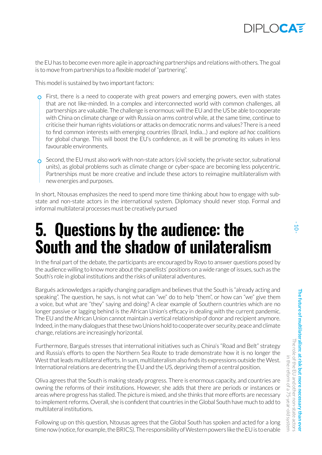

<span id="page-10-0"></span>the EU has to become even more agile in approaching partnerships and relations with others. The goal is to move from partnerships to a flexible model of "partnering".

This model is sustained by two important factors:

Ò

 $\circ$  First, there is a need to cooperate with great powers and emerging powers, even with states that are not like-minded. In a complex and interconnected world with common challenges, all partnerships are valuable. The challenge is enormous: will the EU and the US be able to cooperate with China on climate change or with Russia on arms control while, at the same time, continue to criticise their human rights violations or attacks on democratic norms and values? There is a need to find common interests with emerging countries (Brazil, India…) and explore *ad hoc* coalitions for global change. This will boost the EU's confidence, as it will be promoting its values in less favourable environments.

Second, the EU must also work with non-state actors (civil society, the private sector, subnational units), as global problems such as climate change or cyber-space are becoming less polycentric. Partnerships must be more creative and include these actors to reimagine multilateralism with new energies and purposes.

In short, Ntousas emphasizes the need to spend more time thinking about how to engage with substate and non-state actors in the international system. Diplomacy should never stop. Formal and informal multilateral processes must be creatively pursued

## 5. Questions by the audience: the South and the shadow of unilateralism

In the final part of the debate, the participants are encouraged by Royo to answer questions posed by the audience willing to know more about the panellists' positions on a wide range of issues, such as the South's role in global institutions and the risks of unilateral adventures.

Bargués acknowledges a rapidly changing paradigm and believes that the South is "already acting and speaking". The question, he says, is not what can "we" do to help "them", or how can "we" give them a voice, but what are "they" saying and doing? A clear example of Southern countries which are no longer passive or lagging behind is the African Union's efficacy in dealing with the current pandemic. The EU and the African Union cannot maintain a vertical relationship of donor and recipient anymore. Indeed, in the many dialogues that these two Unions hold to cooperate over security, peace and climate change, relations are increasingly horizontal.

Furthermore, Bargués stresses that international initiatives such as China's "Road and Belt" strategy and Russia's efforts to open the Northern Sea Route to trade demonstrate how it is no longer the West that leads multilateral efforts. In sum, multilateralism also finds its expressions outside the West. International relations are decentring the EU and the US, depriving them of a central position.

Oliva agrees that the South is making steady progress. There is enormous capacity, and countries are owning the reforms of their institutions. However, she adds that there are periods or instances or areas where progress has stalled. The picture is mixed, and she thinks that more efforts are necessary to implement reforms. Overall, she is confident that countries in the Global South have much to add to multilateral institutions.

Following up on this question, Ntousas agrees that the Global South has spoken and acted for a long time now (notice, for example, the BRICS). The responsibility of Western powers like the EU is to enable  $\overline{0}$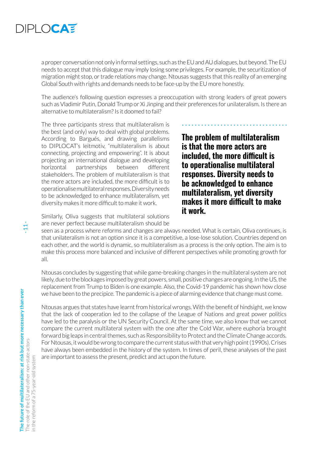

a proper conversation not only in formal settings, such as the EU and AU dialogues, but beyond. The EU needs to accept that this dialogue may imply losing some privileges. For example, the securitization of migration might stop, or trade relations may change. Ntousas suggests that this reality of an emerging Global South with rights and demands needs to be face-up by the EU more honestly.

The audience's following question expresses a preoccupation with strong leaders of great powers such as Vladimir Putin, Donald Trump or Xi Jinping and their preferences for unilateralism. Is there an alternative to multilateralism? Is it doomed to fail?

The three participants stress that multilateralism is the best (and only) way to deal with global problems. According to Bargués, and drawing parallelisms to DIPLOCAT's leitmotiv, "multilateralism is about connecting, projecting and empowering". It is about projecting an international dialogue and developing horizontal partnerships between different stakeholders. The problem of multilateralism is that the more actors are included, the more difficult is to operationalise multilateral responses. Diversity needs to be acknowledged to enhance multilateralism, yet diversity makes it more difficult to make it work.

The problem of multilateralism is that the more actors are included, the more difficult is to operationalise multilateral responses. Diversity needs to be acknowledged to enhance multilateralism, yet diversity makes it more difficult to make it work.

Similarly, Oliva suggests that multilateral solutions are never perfect because multilateralism should be

seen as a process where reforms and changes are always needed. What is certain, Oliva continues, is that unilateralism is not an option since it is a competitive, a lose-lose solution. Countries depend on each other, and the world is dynamic, so multilateralism as a process is the only option. The aim is to make this process more balanced and inclusive of different perspectives while promoting growth for all.

Ntousas concludes by suggesting that while game-breaking changes in the multilateral system are not likely, due to the blockages imposed by great powers, small, positive changes are ongoing. In the US, the replacement from Trump to Biden is one example. Also, the Covid-19 pandemic has shown how close we have been to the precipice. The pandemic is a piece of alarming evidence that change must come.

Ntousas argues that states have learnt from historical wrongs. With the benefit of hindsight, we know that the lack of cooperation led to the collapse of the League of Nations and great power politics have led to the paralysis or the UN Security Council. At the same time, we also know that we cannot compare the current multilateral system with the one after the Cold War, where euphoria brought forward big leaps in central themes, such as Responsibility to Protect and the Climate Change accords. For Ntousas, it would be wrong to compare the current status with that very high point (1990s). Crises have always been embedded in the history of the system. In times of peril, these analyses of the past are important to assess the present, predict and act upon the future.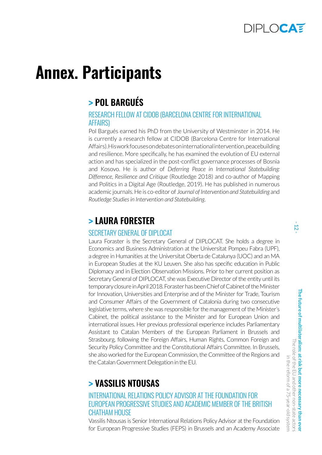

## <span id="page-12-0"></span>Annex. Participants

### **>** POL BARGUÉS

### RESEARCH FELLOW AT CIDOB (BARCELONA CENTRE FOR INTERNATIONAL AFFAIRS)

Pol Bargués earned his PhD from the University of Westminster in 2014. He is currently a research fellow at CIDOB (Barcelona Centre for International Affairs). His work focuses on debates on international intervention, peacebuilding and resilience. More specifically, he has examined the evolution of EU external action and has specialized in the post-conflict governance processes of Bosnia and Kosovo. He is author of *Deferring Peace in International Statebuilding: Difference, Resilience and Critique* (Routledge 2018) and co-author of Mapping and Politics in a Digital Age (Routledge, 2019). He has published in numerous academic journals. He is co-editor of *Journal of Intervention and Statebuilding* and *Routledge Studies in Intervention and Statebuilding*.

### **>** LAURA FORESTER

#### SECRETARY GENERAL OF DIPLOCAT

Laura Foraster is the Secretary General of DIPLOCAT. She holds a degree in Economics and Business Administration at the Universitat Pompeu Fabra (UPF), a degree in Humanities at the Universitat Oberta de Catalunya (UOC) and an MA in European Studies at the KU Leuven. She also has specific education in Public Diplomacy and in Election Observation Missions. Prior to her current position as Secretary General of DIPLOCAT, she was Executive Director of the entity until its temporary closure in April 2018. Foraster has been Chief of Cabinet of the Minister for Innovation, Universities and Enterprise and of the Minister for Trade, Tourism and Consumer Affairs of the Government of Catalonia during two consecutive legislative terms, where she was responsible for the management of the Minister's Cabinet, the political assistance to the Minister and for European Union and international issues. Her previous professional experience includes Parliamentary Assistant to Catalan Members of the European Parliament in Brussels and Strasbourg, following the Foreign Affairs, Human Rights, Common Foreign and Security Policy Committee and the Constitutional Affairs Committee. In Brussels, she also worked for the European Commission, the Committee of the Regions and the Catalan Government Delegation in the EU.

### **>** VASSILIS NTOUSAS

### INTERNATIONAL RELATIONS POLICY ADVISOR AT THE FOUNDATION FOR EUROPEAN PROGRESSIVE STUDIES AND ACADEMIC MEMBER OF THE BRITISH CHATHAM HOUSE

Vassilis Ntousas is Senior International Relations Policy Advisor at the Foundation for European Progressive Studies (FEPS) in Brussels and an Academy Associate

The future of multilateralism: at risk but more necessary than ever **The future of multilateralism: at risk but more necessary than ever** The role of the EU and other non-state actors The role of the EU and other non-state actors

 $\overline{5}$ 

in the reform of a 75-year-old system

in the reform of a /5-year-old system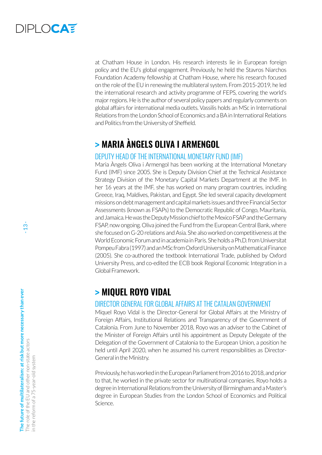

at Chatham House in London. His research interests lie in European foreign policy and the EU's global engagement. Previously, he held the Stavros Niarchos Foundation Academy fellowship at Chatham House, where his research focused on the role of the EU in renewing the multilateral system. From 2015-2019, he led the international research and activity programme of FEPS, covering the world's major regions. He is the author of several policy papers and regularly comments on global affairs for international media outlets. Vassilis holds an MSc in International Relations from the London School of Economics and a BA in International Relations and Politics from the University of Sheffield.

## **>** MARIA ÀNGELS OLIVA I ARMENGOL

### DEPUTY HEAD OF THE INTERNATIONAL MONETARY FUND (IMF)

Maria Àngels Oliva i Armengol has been working at the International Monetary Fund (IMF) since 2005. She is Deputy Division Chief at the Technical Assistance Strategy Division of the Monetary Capital Markets Department at the IMF. In her 16 years at the IMF, she has worked on many program countries, including Greece, Iraq, Maldives, Pakistan, and Egypt. She led several capacity development missions on debt management and capital markets issues and three Financial Sector Assessments (known as FSAPs) to the Democratic Republic of Congo, Mauritania, and Jamaica. He was the Deputy Mission chief to the Mexico FSAP and the Germany FSAP, now ongoing. Oliva joined the Fund from the European Central Bank, where she focused on G-20 relations and Asia. She also worked on competitiveness at the World Economic Forum and in academia in Paris. She holds a Ph.D. from Universitat Pompeu Fabra (1997) and an MSc from Oxford University on Mathematical Finance (2005). She co-authored the textbook International Trade, published by Oxford University Press, and co-edited the ECB book Regional Economic Integration in a Global Framework.

### **>** MIQUEL ROYO VIDAL

#### DIRECTOR GENERAL FOR GLOBAL AFFAIRS AT THE CATALAN GOVERNMENT

Miquel Royo Vidal is the Director-General for Global Affairs at the Ministry of Foreign Affairs, Institutional Relations and Transparency of the Government of Catalonia. From June to November 2018, Royo was an adviser to the Cabinet of the Minister of Foreign Affairs until his appointment as Deputy Delegate of the Delegation of the Government of Catalonia to the European Union, a position he held until April 2020, when he assumed his current responsibilities as Director-General in the Ministry.

Previously, he has worked in the European Parliament from 2016 to 2018, and prior to that, he worked in the private sector for multinational companies. Royo holds a degree in International Relations from the University of Birmingham and a Master's degree in European Studies from the London School of Economics and Political Science.